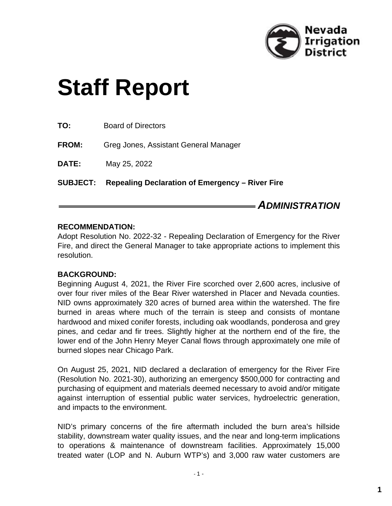

# **Staff Report**

| <b>SUBJECT:</b> | Repealing Declaration of Emergency – River Fire |
|-----------------|-------------------------------------------------|
| DATE:           | May 25, 2022                                    |
| <b>FROM:</b>    | Greg Jones, Assistant General Manager           |
| TO:             | <b>Board of Directors</b>                       |

### *ADMINISTRATION*

#### **RECOMMENDATION:**

Adopt Resolution No. 2022-32 - Repealing Declaration of Emergency for the River Fire, and direct the General Manager to take appropriate actions to implement this resolution.

#### **BACKGROUND:**

Beginning August 4, 2021, the River Fire scorched over 2,600 acres, inclusive of over four river miles of the Bear River watershed in Placer and Nevada counties. NID owns approximately 320 acres of burned area within the watershed. The fire burned in areas where much of the terrain is steep and consists of montane hardwood and mixed conifer forests, including oak woodlands, ponderosa and grey pines, and cedar and fir trees. Slightly higher at the northern end of the fire, the lower end of the John Henry Meyer Canal flows through approximately one mile of burned slopes near Chicago Park.

On August 25, 2021, NID declared a declaration of emergency for the River Fire (Resolution No. 2021-30), authorizing an emergency \$500,000 for contracting and purchasing of equipment and materials deemed necessary to avoid and/or mitigate against interruption of essential public water services, hydroelectric generation, and impacts to the environment.

NID's primary concerns of the fire aftermath included the burn area's hillside stability, downstream water quality issues, and the near and long-term implications to operations & maintenance of downstream facilities. Approximately 15,000 treated water (LOP and N. Auburn WTP's) and 3,000 raw water customers are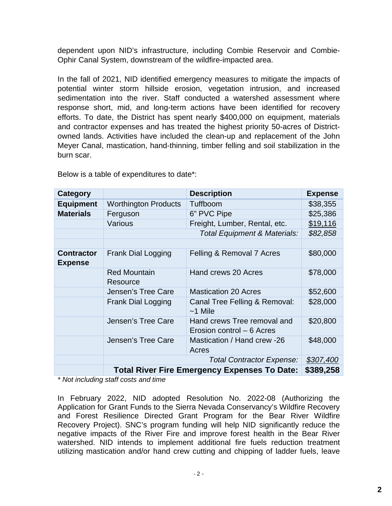dependent upon NID's infrastructure, including Combie Reservoir and Combie-Ophir Canal System, downstream of the wildfire-impacted area.

In the fall of 2021, NID identified emergency measures to mitigate the impacts of potential winter storm hillside erosion, vegetation intrusion, and increased sedimentation into the river. Staff conducted a watershed assessment where response short, mid, and long-term actions have been identified for recovery efforts. To date, the District has spent nearly \$400,000 on equipment, materials and contractor expenses and has treated the highest priority 50-acres of Districtowned lands. Activities have included the clean-up and replacement of the John Meyer Canal, mastication, hand-thinning, timber felling and soil stabilization in the burn scar.

| Category                            |                                                     | <b>Description</b>                                       | <b>Expense</b> |
|-------------------------------------|-----------------------------------------------------|----------------------------------------------------------|----------------|
| <b>Equipment</b>                    | <b>Worthington Products</b>                         | Tuffboom                                                 | \$38,355       |
| <b>Materials</b>                    | Ferguson                                            | 6" PVC Pipe                                              | \$25,386       |
|                                     | Various                                             | Freight, Lumber, Rental, etc.                            | \$19,116       |
|                                     | Total Equipment & Materials:                        |                                                          | \$82,858       |
|                                     |                                                     |                                                          |                |
| <b>Contractor</b><br><b>Expense</b> | <b>Frank Dial Logging</b>                           | Felling & Removal 7 Acres                                | \$80,000       |
|                                     | <b>Red Mountain</b><br>Resource                     | Hand crews 20 Acres                                      | \$78,000       |
|                                     | Jensen's Tree Care                                  | <b>Mastication 20 Acres</b>                              | \$52,600       |
|                                     | <b>Frank Dial Logging</b>                           | Canal Tree Felling & Removal:<br>$~1$ Mile               | \$28,000       |
|                                     | Jensen's Tree Care                                  | Hand crews Tree removal and<br>Erosion control - 6 Acres | \$20,800       |
|                                     | Jensen's Tree Care                                  | Mastication / Hand crew -26<br>Acres                     | \$48,000       |
|                                     |                                                     | <b>Total Contractor Expense:</b>                         |                |
|                                     | <b>Total River Fire Emergency Expenses To Date:</b> |                                                          | \$389,258      |

Below is a table of expenditures to date\*:

*\* Not including staff costs and time*

In February 2022, NID adopted Resolution No. 2022-08 (Authorizing the Application for Grant Funds to the Sierra Nevada Conservancy's Wildfire Recovery and Forest Resilience Directed Grant Program for the Bear River Wildfire Recovery Project). SNC's program funding will help NID significantly reduce the negative impacts of the River Fire and improve forest health in the Bear River watershed. NID intends to implement additional fire fuels reduction treatment utilizing mastication and/or hand crew cutting and chipping of ladder fuels, leave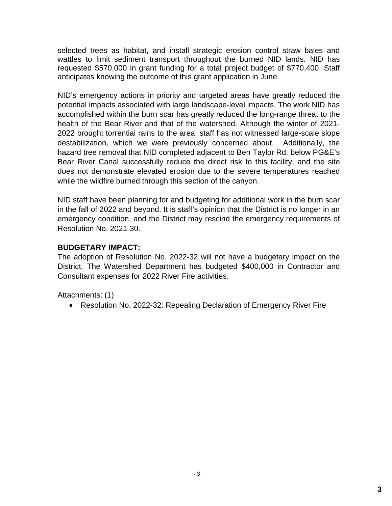selected trees as habitat, and install strategic erosion control straw bales and wattles to limit sediment transport throughout the burned NID lands. NID has requested \$570,000 in grant funding for a total project budget of \$770,400. Staff anticipates knowing the outcome of this grant application in June.

NID's emergency actions in priority and targeted areas have greatly reduced the potential impacts associated with large landscape-level impacts. The work NID has accomplished within the burn scar has greatly reduced the long-range threat to the health of the Bear River and that of the watershed. Although the winter of 2021- 2022 brought torrential rains to the area, staff has not witnessed large-scale slope destabilization, which we were previously concerned about. Additionally, the hazard tree removal that NID completed adjacent to Ben Taylor Rd. below PG&E's Bear River Canal successfully reduce the direct risk to this facility, and the site does not demonstrate elevated erosion due to the severe temperatures reached while the wildfire burned through this section of the canyon.

NID staff have been planning for and budgeting for additional work in the burn scar in the fall of 2022 and beyond. It is staff's opinion that the District is no longer in an emergency condition, and the District may rescind the emergency requirements of Resolution No. 2021-30.

#### **BUDGETARY IMPACT:**

The adoption of Resolution No. 2022-32 will not have a budgetary impact on the District. The Watershed Department has budgeted \$400,000 in Contractor and Consultant expenses for 2022 River Fire activities.

Attachments: (1)

Resolution No. 2022-32: Repealing Declaration of Emergency River Fire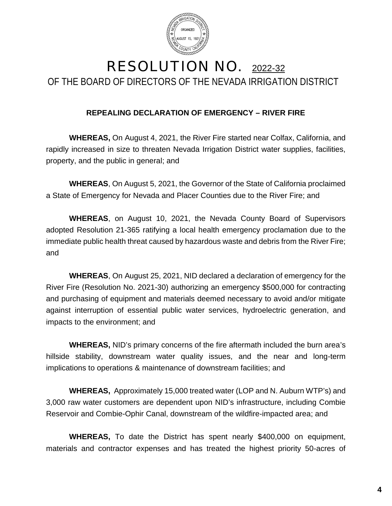

## RESOLUTION NO. 2022-32 OF THE BOARD OF DIRECTORS OF THE NEVADA IRRIGATION DISTRICT

#### **REPEALING DECLARATION OF EMERGENCY – RIVER FIRE**

**WHEREAS,** On August 4, 2021, the River Fire started near Colfax, California, and rapidly increased in size to threaten Nevada Irrigation District water supplies, facilities, property, and the public in general; and

**WHEREAS**, On August 5, 2021, the Governor of the State of California proclaimed a State of Emergency for Nevada and Placer Counties due to the River Fire; and

**WHEREAS**, on August 10, 2021, the Nevada County Board of Supervisors adopted Resolution 21-365 ratifying a local health emergency proclamation due to the immediate public health threat caused by hazardous waste and debris from the River Fire; and

**WHEREAS**, On August 25, 2021, NID declared a declaration of emergency for the River Fire (Resolution No. 2021-30) authorizing an emergency \$500,000 for contracting and purchasing of equipment and materials deemed necessary to avoid and/or mitigate against interruption of essential public water services, hydroelectric generation, and impacts to the environment; and

**WHEREAS,** NID's primary concerns of the fire aftermath included the burn area's hillside stability, downstream water quality issues, and the near and long-term implications to operations & maintenance of downstream facilities; and

**WHEREAS,** Approximately 15,000 treated water (LOP and N. Auburn WTP's) and 3,000 raw water customers are dependent upon NID's infrastructure, including Combie Reservoir and Combie-Ophir Canal, downstream of the wildfire-impacted area; and

**WHEREAS,** To date the District has spent nearly \$400,000 on equipment, materials and contractor expenses and has treated the highest priority 50-acres of